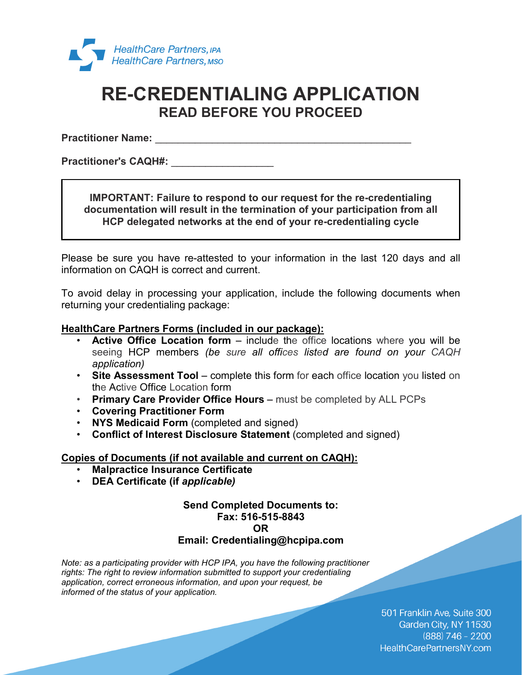

## **RE-CREDENTIALING APPLICATION READ BEFORE YOU PROCEED**

**Practitioner Name: and the set of the set of the set of the set of the set of the set of the set of the set of the set of the set of the set of the set of the set of the set of the set of the set of the set of the set o** 

**Practitioner's CAQH#:** \_\_\_\_\_\_\_\_\_\_\_\_\_\_\_\_\_\_

### **IMPORTANT: Failure to respond to our request for the re-credentialing documentation will result in the termination of your participation from all HCP delegated networks at the end of your re-credentialing cycle**

Please be sure you have re-attested to your information in the last 120 days and all information on CAQH is correct and current.

To avoid delay in processing your application, include the following documents when returning your credentialing package:

### **HealthCare Partners Forms (included in our package):**

- **Active Office Location form –** include the office locations where you will be seeing HCP members *(be sure all offices listed are found on your CAQH application)*
- **Site Assessment Tool –** complete this form for each office location you listed on the Active Office Location form
- **Primary Care Provider Office Hours –** must be completed by ALL PCPs
- **Covering Practitioner Form**
- **NYS Medicaid Form** (completed and signed)
- **Conflict of Interest Disclosure Statement** (completed and signed)

#### **Copies of Documents (if not available and current on CAQH):**

- **Malpractice Insurance Certificate**
- **DEA Certificate (if** *applicable)*

### **Send Completed Documents to: Fax: 516-515-8843 OR**

### **Email: Credentialing@hcpipa.com**

*Note: as a participating provider with HCP IPA, you have the following practitioner rights: The right to review information submitted to support your credentialing application, correct erroneous information, and upon your request, be informed of the status of your application.*

> 501 Franklin Ave, Suite 300 Garden City, NY 11530  $(888)$  746 - 2200 HealthCarePartnersNY.com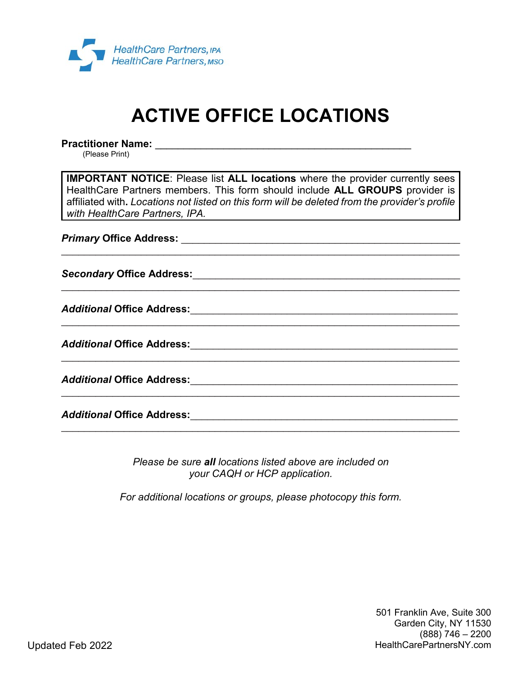

# **ACTIVE OFFICE LOCATIONS**

**Practitioner Name:** \_\_\_\_\_\_\_\_\_\_\_\_\_\_\_\_\_\_\_\_\_\_\_\_\_\_\_\_\_\_\_\_\_\_\_\_\_\_\_\_\_\_\_\_\_ (Please Print)

**IMPORTANT NOTICE**: Please list **ALL locations** where the provider currently sees HealthCare Partners members. This form should include **ALL GROUPS** provider is affiliated with**.** *Locations not listed on this form will be deleted from the provider's profile with HealthCare Partners, IPA.*

\_\_\_\_\_\_\_\_\_\_\_\_\_\_\_\_\_\_\_\_\_\_\_\_\_\_\_\_\_\_\_\_\_\_\_\_\_\_\_\_\_\_\_\_\_\_\_\_\_\_\_\_\_\_\_\_\_\_\_\_\_\_\_\_\_\_\_\_\_\_

\_\_\_\_\_\_\_\_\_\_\_\_\_\_\_\_\_\_\_\_\_\_\_\_\_\_\_\_\_\_\_\_\_\_\_\_\_\_\_\_\_\_\_\_\_\_\_\_\_\_\_\_\_\_\_\_\_\_\_\_\_\_\_\_\_\_\_\_\_\_

\_\_\_\_\_\_\_\_\_\_\_\_\_\_\_\_\_\_\_\_\_\_\_\_\_\_\_\_\_\_\_\_\_\_\_\_\_\_\_\_\_\_\_\_\_\_\_\_\_\_\_\_\_\_\_\_\_\_\_\_\_\_\_\_\_\_\_\_\_\_

\_\_\_\_\_\_\_\_\_\_\_\_\_\_\_\_\_\_\_\_\_\_\_\_\_\_\_\_\_\_\_\_\_\_\_\_\_\_\_\_\_\_\_\_\_\_\_\_\_\_\_\_\_\_\_\_\_\_\_\_\_\_\_\_\_\_\_\_\_\_

\_\_\_\_\_\_\_\_\_\_\_\_\_\_\_\_\_\_\_\_\_\_\_\_\_\_\_\_\_\_\_\_\_\_\_\_\_\_\_\_\_\_\_\_\_\_\_\_\_\_\_\_\_\_\_\_\_\_\_\_\_\_\_\_\_\_\_\_\_\_

\_\_\_\_\_\_\_\_\_\_\_\_\_\_\_\_\_\_\_\_\_\_\_\_\_\_\_\_\_\_\_\_\_\_\_\_\_\_\_\_\_\_\_\_\_\_\_\_\_\_\_\_\_\_\_\_\_\_\_\_\_\_\_\_\_\_\_\_\_\_

*Primary* **Office Address:** \_\_\_\_\_\_\_\_\_\_\_\_\_\_\_\_\_\_\_\_\_\_\_\_\_\_\_\_\_\_\_\_\_\_\_\_\_\_\_\_\_\_\_\_\_\_\_\_\_

*Secondary* **Office Address:**\_\_\_\_\_\_\_\_\_\_\_\_\_\_\_\_\_\_\_\_\_\_\_\_\_\_\_\_\_\_\_\_\_\_\_\_\_\_\_\_\_\_\_\_\_\_\_

*Additional* **Office Address:**\_\_\_\_\_\_\_\_\_\_\_\_\_\_\_\_\_\_\_\_\_\_\_\_\_\_\_\_\_\_\_\_\_\_\_\_\_\_\_\_\_\_\_\_\_\_\_

*Additional* **Office Address:**\_\_\_\_\_\_\_\_\_\_\_\_\_\_\_\_\_\_\_\_\_\_\_\_\_\_\_\_\_\_\_\_\_\_\_\_\_\_\_\_\_\_\_\_\_\_\_

*Additional* **Office Address:**\_\_\_\_\_\_\_\_\_\_\_\_\_\_\_\_\_\_\_\_\_\_\_\_\_\_\_\_\_\_\_\_\_\_\_\_\_\_\_\_\_\_\_\_\_\_\_

*Additional* **Office Address:**\_\_\_\_\_\_\_\_\_\_\_\_\_\_\_\_\_\_\_\_\_\_\_\_\_\_\_\_\_\_\_\_\_\_\_\_\_\_\_\_\_\_\_\_\_\_\_

*Please be sure all locations listed above are included on your CAQH or HCP application.*

*For additional locations or groups, please photocopy this form.*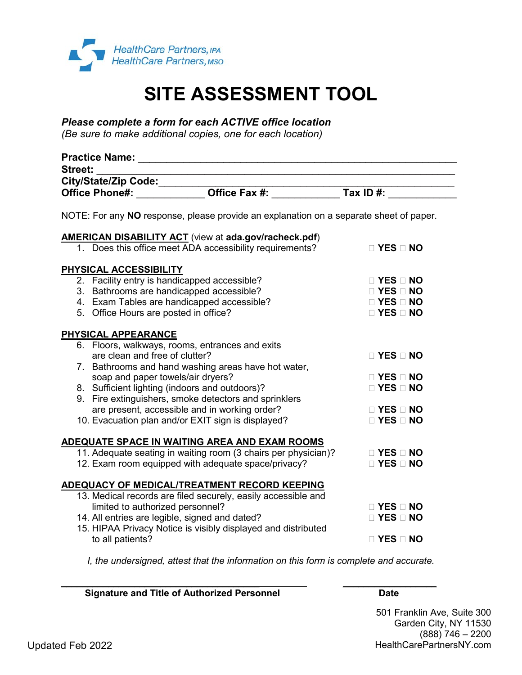

# **SITE ASSESSMENT TOOL**

*Please complete a form for each ACTIVE office location*

*(Be sure to make additional copies, one for each location)*

| <b>Street:</b>                                                                                                                                              | <u> 1980 - Johann Barbara, martin a</u>                                                                                                                                       |                                                                                              |  |  |  |  |  |
|-------------------------------------------------------------------------------------------------------------------------------------------------------------|-------------------------------------------------------------------------------------------------------------------------------------------------------------------------------|----------------------------------------------------------------------------------------------|--|--|--|--|--|
|                                                                                                                                                             |                                                                                                                                                                               |                                                                                              |  |  |  |  |  |
|                                                                                                                                                             |                                                                                                                                                                               |                                                                                              |  |  |  |  |  |
| NOTE: For any NO response, please provide an explanation on a separate sheet of paper.                                                                      |                                                                                                                                                                               |                                                                                              |  |  |  |  |  |
|                                                                                                                                                             | <b>AMERICAN DISABILITY ACT</b> (view at ada.gov/racheck.pdf)                                                                                                                  |                                                                                              |  |  |  |  |  |
|                                                                                                                                                             | 1. Does this office meet ADA accessibility requirements?                                                                                                                      | $\Box$ YES $\Box$ NO                                                                         |  |  |  |  |  |
| PHYSICAL ACCESSIBILITY<br>2. Facility entry is handicapped accessible?<br>3. Bathrooms are handicapped accessible?<br>5. Office Hours are posted in office? | 4. Exam Tables are handicapped accessible?                                                                                                                                    | $\Box$ YES $\Box$ NO<br>$\Box$ YES $\Box$ NO<br>$\Box$ YES $\Box$ NO<br>$\Box$ YES $\Box$ NO |  |  |  |  |  |
| PHYSICAL APPEARANCE                                                                                                                                         |                                                                                                                                                                               |                                                                                              |  |  |  |  |  |
|                                                                                                                                                             | 6. Floors, walkways, rooms, entrances and exits<br>are clean and free of clutter?<br>7. Bathrooms and hand washing areas have hot water,                                      |                                                                                              |  |  |  |  |  |
| soap and paper towels/air dryers?                                                                                                                           |                                                                                                                                                                               | □ YES □ NO                                                                                   |  |  |  |  |  |
| 8. Sufficient lighting (indoors and outdoors)?                                                                                                              |                                                                                                                                                                               | □ YES □ NO                                                                                   |  |  |  |  |  |
|                                                                                                                                                             | 9. Fire extinguishers, smoke detectors and sprinklers                                                                                                                         |                                                                                              |  |  |  |  |  |
|                                                                                                                                                             | are present, accessible and in working order?                                                                                                                                 | $\Box$ YES $\Box$ NO                                                                         |  |  |  |  |  |
|                                                                                                                                                             | 10. Evacuation plan and/or EXIT sign is displayed?                                                                                                                            | $\Box$ YES $\Box$ NO                                                                         |  |  |  |  |  |
|                                                                                                                                                             | <b>ADEQUATE SPACE IN WAITING AREA AND EXAM ROOMS</b><br>11. Adequate seating in waiting room (3 chairs per physician)?<br>12. Exam room equipped with adequate space/privacy? | $\Box$ YES $\Box$ NO<br>$\Box$ YES $\Box$ NO                                                 |  |  |  |  |  |
|                                                                                                                                                             | ADEQUACY OF MEDICAL/TREATMENT RECORD KEEPING                                                                                                                                  |                                                                                              |  |  |  |  |  |
| limited to authorized personnel?<br>14. All entries are legible, signed and dated?                                                                          | 13. Medical records are filed securely, easily accessible and<br>15. HIPAA Privacy Notice is visibly displayed and distributed                                                | $\Box$ YES $\Box$ NO<br>□ YES □ NO                                                           |  |  |  |  |  |
| to all patients?                                                                                                                                            |                                                                                                                                                                               | $\Box$ YES $\Box$ NO                                                                         |  |  |  |  |  |

*I, the undersigned, attest that the information on this form is complete and accurate.*

**Signature and Title of Authorized Personnel Communisty Contracts Control Date** 

 $\overline{\phantom{a}}$  , and the contract of the contract of the contract of the contract of the contract of the contract of the contract of the contract of the contract of the contract of the contract of the contract of the contrac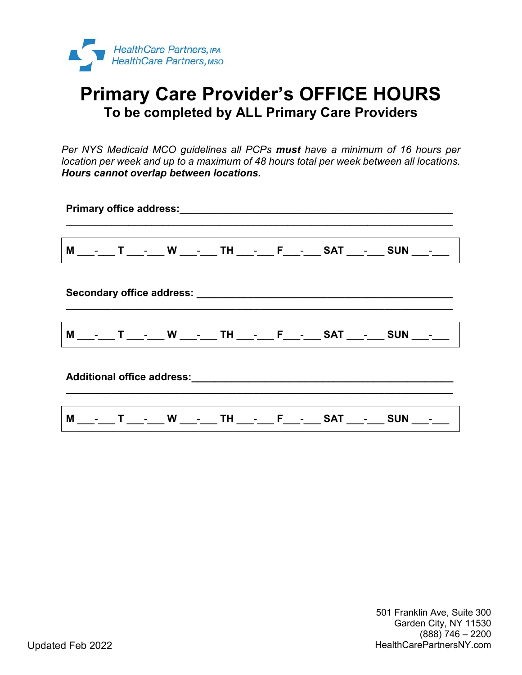

## **Primary Care Provider's OFFICE HOURS To be completed by ALL Primary Care Providers**

*Per NYS Medicaid MCO guidelines all PCPs must have a minimum of 16 hours per location per week and up to a maximum of 48 hours total per week between all locations. Hours cannot overlap between locations.*

| Primary office address: Manual Allen Contract Contract of Contract Contract Contract Contract Contract Contract Contract Contract Contract Contract Contract Contract Contract Contract Contract Contract Contract Contract Co |  |  |  |  |  |  |  |  |                                                                              |                                                                           |
|--------------------------------------------------------------------------------------------------------------------------------------------------------------------------------------------------------------------------------|--|--|--|--|--|--|--|--|------------------------------------------------------------------------------|---------------------------------------------------------------------------|
|                                                                                                                                                                                                                                |  |  |  |  |  |  |  |  |                                                                              | M ___-___ T ___-___ W ___-___ TH ___-___ F___-___ SAT ___-___ SUN ___-___ |
|                                                                                                                                                                                                                                |  |  |  |  |  |  |  |  |                                                                              |                                                                           |
|                                                                                                                                                                                                                                |  |  |  |  |  |  |  |  | M ___-___ T ____-___ W ___-___ TH ___-___ F___-___ SAT ___-___ SUN ___-___   |                                                                           |
|                                                                                                                                                                                                                                |  |  |  |  |  |  |  |  |                                                                              |                                                                           |
|                                                                                                                                                                                                                                |  |  |  |  |  |  |  |  | M ___-___ T ____-___ W ____-___ TH ___- ___ F___-___ SAT ___-___ SUN ___-___ |                                                                           |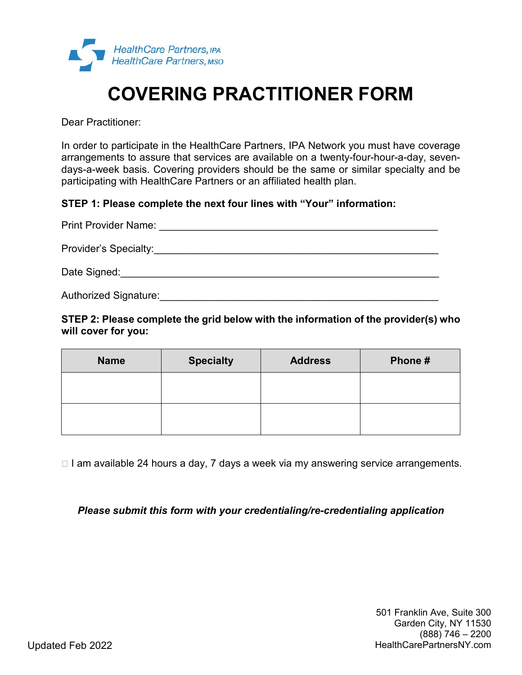

# **COVERING PRACTITIONER FORM**

Dear Practitioner:

In order to participate in the HealthCare Partners, IPA Network you must have coverage arrangements to assure that services are available on a twenty-four-hour-a-day, sevendays-a-week basis. Covering providers should be the same or similar specialty and be participating with HealthCare Partners or an affiliated health plan.

### **STEP 1: Please complete the next four lines with "Your" information:**

| <b>Print Provider Name:</b> |  |
|-----------------------------|--|
| Provider's Specialty:       |  |
| Date Signed:                |  |
| Authorized Signature:       |  |

**STEP 2: Please complete the grid below with the information of the provider(s) who will cover for you:**

| <b>Name</b> | <b>Specialty</b> | <b>Address</b> | Phone# |
|-------------|------------------|----------------|--------|
|             |                  |                |        |
|             |                  |                |        |

□ I am available 24 hours a day, 7 days a week via my answering service arrangements.

*Please submit this form with your credentialing/re-credentialing application*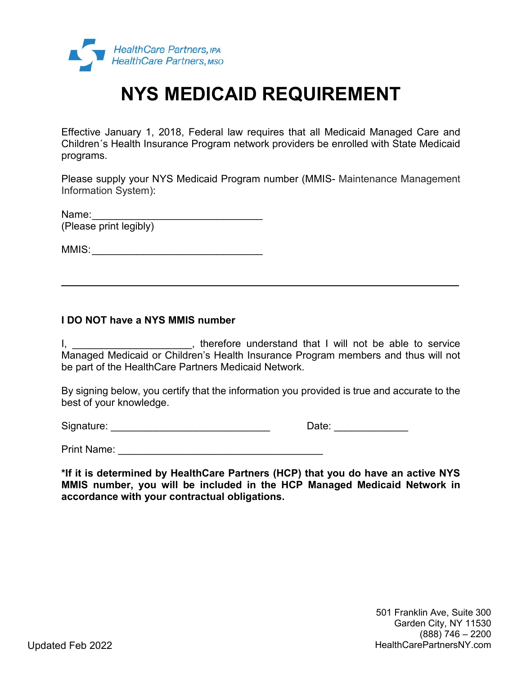

## **NYS MEDICAID REQUIREMENT**

Effective January 1, 2018, Federal law requires that all Medicaid Managed Care and Children´s Health Insurance Program network providers be enrolled with State Medicaid programs.

Please supply your NYS Medicaid Program number (MMIS- Maintenance Management Information System):

Name: (Please print legibly)

MMIS:\_\_\_\_\_\_\_\_\_\_\_\_\_\_\_\_\_\_\_\_\_\_\_\_\_\_\_\_\_\_

### **I DO NOT have a NYS MMIS number**

I, \_\_\_\_\_\_\_\_\_\_\_\_\_\_\_\_\_\_\_\_\_\_\_, therefore understand that I will not be able to service Managed Medicaid or Children's Health Insurance Program members and thus will not be part of the HealthCare Partners Medicaid Network.

By signing below, you certify that the information you provided is true and accurate to the best of your knowledge.

Signature: \_\_\_\_\_\_\_\_\_\_\_\_\_\_\_\_\_\_\_\_\_\_\_\_\_\_\_\_\_\_\_\_\_\_ Date: \_\_\_\_\_\_\_\_\_\_\_\_\_\_\_

Print Name: **Example 20** and 20 and 20 and 20 and 20 and 20 and 20 and 20 and 20 and 20 and 20 and 20 and 20 and 20 and 20 and 20 and 20 and 20 and 20 and 20 and 20 and 20 and 20 and 20 and 20 and 20 and 20 and 20 and 20 a

**\*If it is determined by HealthCare Partners (HCP) that you do have an active NYS MMIS number, you will be included in the HCP Managed Medicaid Network in accordance with your contractual obligations.**